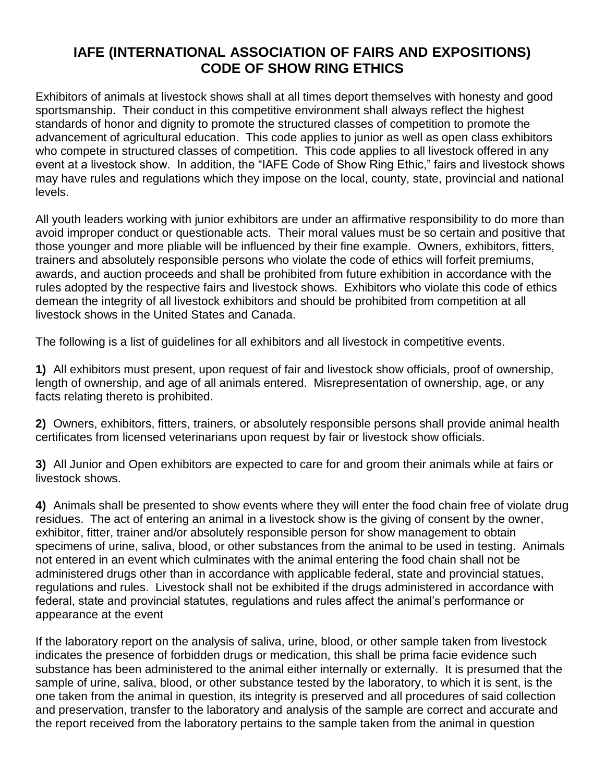## **IAFE (INTERNATIONAL ASSOCIATION OF FAIRS AND EXPOSITIONS) CODE OF SHOW RING ETHICS**

Exhibitors of animals at livestock shows shall at all times deport themselves with honesty and good sportsmanship. Their conduct in this competitive environment shall always reflect the highest standards of honor and dignity to promote the structured classes of competition to promote the advancement of agricultural education. This code applies to junior as well as open class exhibitors who compete in structured classes of competition. This code applies to all livestock offered in any event at a livestock show. In addition, the "IAFE Code of Show Ring Ethic," fairs and livestock shows may have rules and regulations which they impose on the local, county, state, provincial and national levels.

All youth leaders working with junior exhibitors are under an affirmative responsibility to do more than avoid improper conduct or questionable acts. Their moral values must be so certain and positive that those younger and more pliable will be influenced by their fine example. Owners, exhibitors, fitters, trainers and absolutely responsible persons who violate the code of ethics will forfeit premiums, awards, and auction proceeds and shall be prohibited from future exhibition in accordance with the rules adopted by the respective fairs and livestock shows. Exhibitors who violate this code of ethics demean the integrity of all livestock exhibitors and should be prohibited from competition at all livestock shows in the United States and Canada.

The following is a list of guidelines for all exhibitors and all livestock in competitive events.

**1)** All exhibitors must present, upon request of fair and livestock show officials, proof of ownership, length of ownership, and age of all animals entered. Misrepresentation of ownership, age, or any facts relating thereto is prohibited.

**2)** Owners, exhibitors, fitters, trainers, or absolutely responsible persons shall provide animal health certificates from licensed veterinarians upon request by fair or livestock show officials.

**3)** All Junior and Open exhibitors are expected to care for and groom their animals while at fairs or livestock shows.

**4)** Animals shall be presented to show events where they will enter the food chain free of violate drug residues. The act of entering an animal in a livestock show is the giving of consent by the owner, exhibitor, fitter, trainer and/or absolutely responsible person for show management to obtain specimens of urine, saliva, blood, or other substances from the animal to be used in testing. Animals not entered in an event which culminates with the animal entering the food chain shall not be administered drugs other than in accordance with applicable federal, state and provincial statues, regulations and rules. Livestock shall not be exhibited if the drugs administered in accordance with federal, state and provincial statutes, regulations and rules affect the animal's performance or appearance at the event

If the laboratory report on the analysis of saliva, urine, blood, or other sample taken from livestock indicates the presence of forbidden drugs or medication, this shall be prima facie evidence such substance has been administered to the animal either internally or externally. It is presumed that the sample of urine, saliva, blood, or other substance tested by the laboratory, to which it is sent, is the one taken from the animal in question, its integrity is preserved and all procedures of said collection and preservation, transfer to the laboratory and analysis of the sample are correct and accurate and the report received from the laboratory pertains to the sample taken from the animal in question